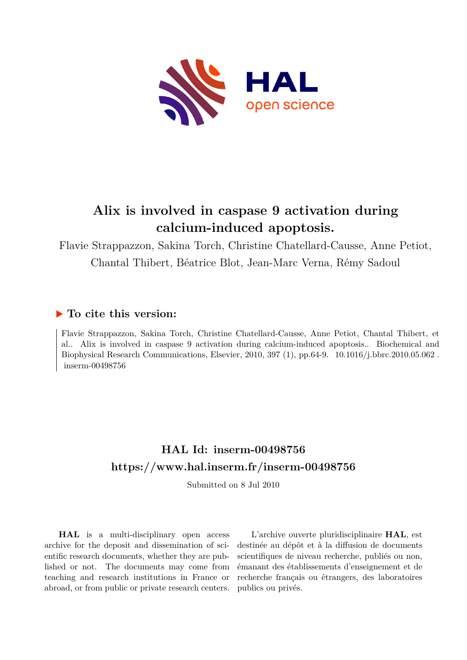

# **Alix is involved in caspase 9 activation during calcium-induced apoptosis.**

Flavie Strappazzon, Sakina Torch, Christine Chatellard-Causse, Anne Petiot, Chantal Thibert, Béatrice Blot, Jean-Marc Verna, Rémy Sadoul

# **To cite this version:**

Flavie Strappazzon, Sakina Torch, Christine Chatellard-Causse, Anne Petiot, Chantal Thibert, et al.. Alix is involved in caspase 9 activation during calcium-induced apoptosis.. Biochemical and Biophysical Research Communications, Elsevier, 2010, 397 (1), pp.64-9. 10.1016/j.bbrc.2010.05.062.  $inserm-00498756$ 

# **HAL Id: inserm-00498756 <https://www.hal.inserm.fr/inserm-00498756>**

Submitted on 8 Jul 2010

**HAL** is a multi-disciplinary open access archive for the deposit and dissemination of scientific research documents, whether they are published or not. The documents may come from teaching and research institutions in France or abroad, or from public or private research centers.

L'archive ouverte pluridisciplinaire **HAL**, est destinée au dépôt et à la diffusion de documents scientifiques de niveau recherche, publiés ou non, émanant des établissements d'enseignement et de recherche français ou étrangers, des laboratoires publics ou privés.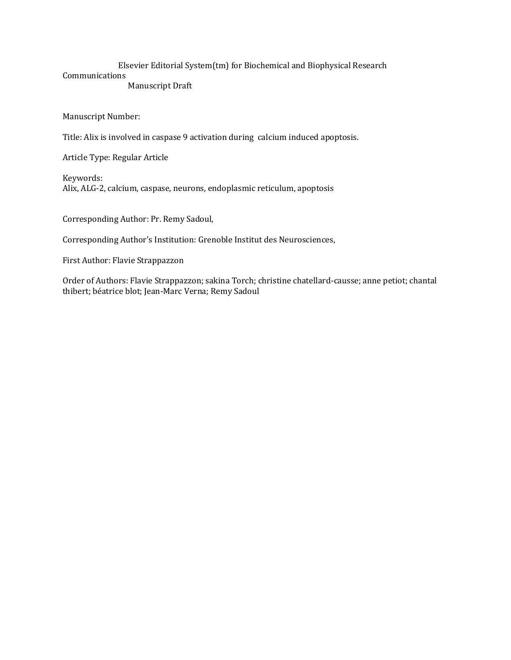#### Elsevier Editorial System(tm) for Biochemical and Biophysical Research Communications Manuscript Draft

Manuscript Number:

Title: Alix is involved in caspase 9 activation during calcium induced apoptosis.

Article Type: Regular Article

Keywords: Alix, ALG-2, calcium, caspase, neurons, endoplasmic reticulum, apoptosis

Corresponding Author: Pr. Remy Sadoul,

Corresponding Author's Institution: Grenoble Institut des Neurosciences,

First Author: Flavie Strappazzon

Order of Authors: Flavie Strappazzon; sakina Torch; christine chatellard-causse; anne petiot; chantal thibert; béatrice blot; Jean-Marc Verna; Remy Sadoul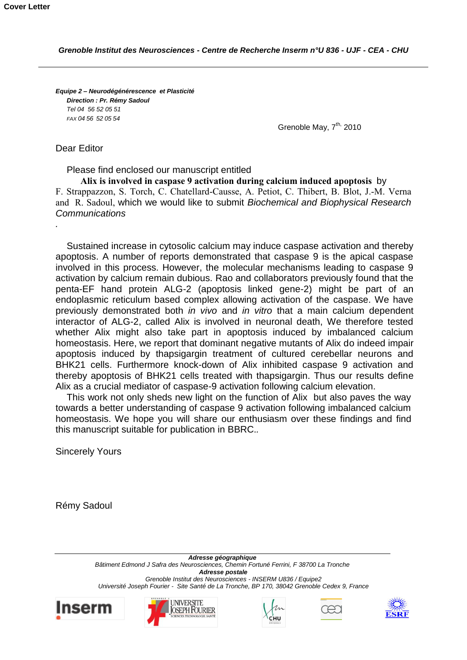*Equipe 2 – Neurodégénérescence et Plasticité Direction : Pr. Rémy Sadoul Tel 04 56 52 05 51 FAX 04 56 52 05 54*

Grenoble May, 7<sup>th,</sup> 2010

Dear Editor

*.*

Please find enclosed our manuscript entitled

**Alix is involved in caspase 9 activation during calcium induced apoptosis** by F. Strappazzon, S. Torch, C. Chatellard-Causse, A. Petiot, C. Thibert, B. Blot, J.-M. Verna and R. Sadoul, which we would like to submit *Biochemical and Biophysical Research Communications*

Sustained increase in cytosolic calcium may induce caspase activation and thereby apoptosis. A number of reports demonstrated that caspase 9 is the apical caspase involved in this process. However, the molecular mechanisms leading to caspase 9 activation by calcium remain dubious. Rao and collaborators previously found that the penta-EF hand protein ALG-2 (apoptosis linked gene-2) might be part of an endoplasmic reticulum based complex allowing activation of the caspase. We have previously demonstrated both *in vivo* and *in vitro* that a main calcium dependent interactor of ALG-2, called Alix is involved in neuronal death, We therefore tested whether Alix might also take part in apoptosis induced by imbalanced calcium homeostasis. Here, we report that dominant negative mutants of Alix do indeed impair apoptosis induced by thapsigargin treatment of cultured cerebellar neurons and BHK21 cells. Furthermore knock-down of Alix inhibited caspase 9 activation and thereby apoptosis of BHK21 cells treated with thapsigargin. Thus our results define Alix as a crucial mediator of caspase-9 activation following calcium elevation.

This work not only sheds new light on the function of Alix but also paves the way towards a better understanding of caspase 9 activation following imbalanced calcium homeostasis. We hope you will share our enthusiasm over these findings and find this manuscript suitable for publication in BBRC.*.*

Sincerely Yours

Rémy Sadoul

*Adresse géographique Bâtiment Edmond J Safra des Neurosciences, Chemin Fortuné Ferrini, F 38700 La Tronche Adresse postale Grenoble Institut des Neurosciences - INSERM U836 / Equipe2 Université Joseph Fourier - Site Santé de La Tronche, BP 170, 38042 Grenoble Cedex 9, France*









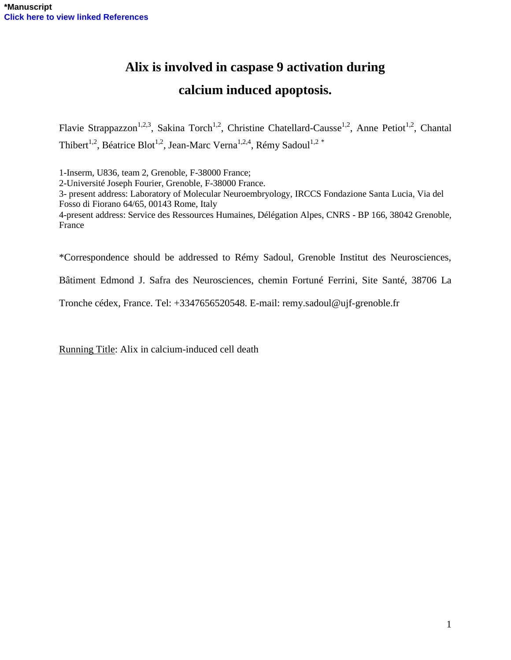# **Alix is involved in caspase 9 activation during calcium induced apoptosis.**

Flavie Strappazzon<sup>1,2,3</sup>, Sakina Torch<sup>1,2</sup>, Christine Chatellard-Causse<sup>1,2</sup>, Anne Petiot<sup>1,2</sup>, Chantal Thibert<sup>1,2</sup>, Béatrice Blot<sup>1,2</sup>, Jean-Marc Verna<sup>1,2,4</sup>, Rémy Sadoul<sup>1,2 \*</sup>

1-Inserm, U836, team 2, Grenoble, F-38000 France; 2-Université Joseph Fourier, Grenoble, F-38000 France. 3- present address: Laboratory of Molecular Neuroembryology, IRCCS Fondazione Santa Lucia, Via del Fosso di Fiorano 64/65, 00143 Rome, Italy 4-present address: Service des Ressources Humaines, Délégation Alpes, CNRS - BP 166, 38042 Grenoble, France

\*Correspondence should be addressed to Rémy Sadoul, Grenoble Institut des Neurosciences,

Bâtiment Edmond J. Safra des Neurosciences, chemin Fortuné Ferrini, Site Santé, 38706 La

Tronche cédex, France. Tel: +3347656520548. E-mail: remy.sadoul@ujf-grenoble.fr

Running Title: Alix in calcium-induced cell death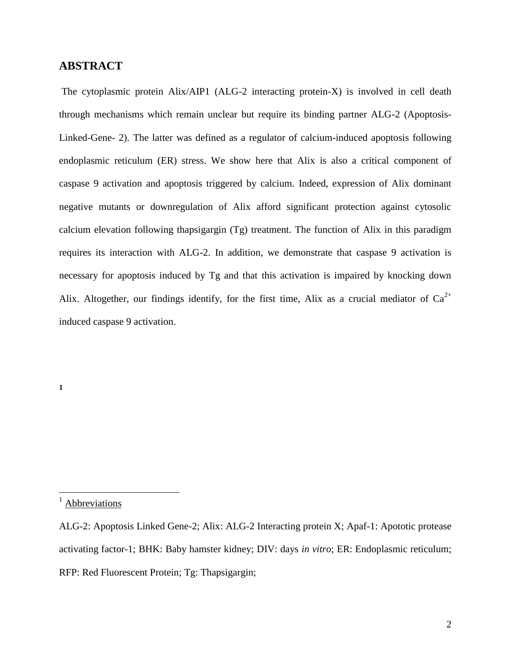# **ABSTRACT**

The cytoplasmic protein Alix/AIP1 (ALG-2 interacting protein-X) is involved in cell death through mechanisms which remain unclear but require its binding partner ALG-2 (Apoptosis-Linked-Gene- 2). The latter was defined as a regulator of calcium**-**induced apoptosis following endoplasmic reticulum (ER) stress. We show here that Alix is also a critical component of caspase 9 activation and apoptosis triggered by calcium. Indeed, expression of Alix dominant negative mutants or downregulation of Alix afford significant protection against cytosolic calcium elevation following thapsigargin (Tg) treatment. The function of Alix in this paradigm requires its interaction with ALG-2. In addition, we demonstrate that caspase 9 activation is necessary for apoptosis induced by Tg and that this activation is impaired by knocking down Alix. Altogether, our findings identify, for the first time, Alix as a crucial mediator of  $Ca^{2+}$ induced caspase 9 activation.

**1**

 $\overline{a}$ 

**Abbreviations** 

ALG-2: Apoptosis Linked Gene-2; Alix: ALG-2 Interacting protein X; Apaf-1: Apototic protease activating factor-1; BHK: Baby hamster kidney; DIV: days *in vitro*; ER: Endoplasmic reticulum; RFP: Red Fluorescent Protein; Tg: Thapsigargin;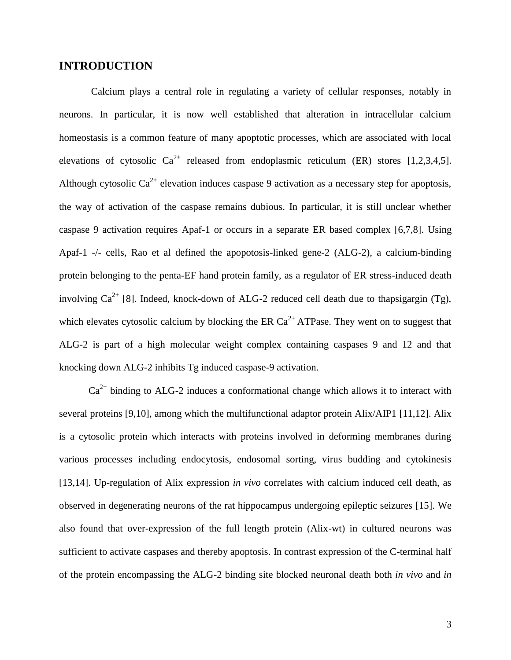# **INTRODUCTION**

Calcium plays a central role in regulating a variety of cellular responses, notably in neurons. In particular, it is now well established that alteration in intracellular calcium homeostasis is a common feature of many apoptotic processes, which are associated with local elevations of cytosolic  $Ca^{2+}$  released from endoplasmic reticulum (ER) stores [1,2,3,4,5]. Although cytosolic  $Ca^{2+}$  elevation induces caspase 9 activation as a necessary step for apoptosis, the way of activation of the caspase remains dubious. In particular, it is still unclear whether caspase 9 activation requires Apaf-1 or occurs in a separate ER based complex [6,7,8]. Using Apaf-1 -/- cells, Rao et al defined the apopotosis-linked gene-2 (ALG-2), a calcium-binding protein belonging to the penta-EF hand protein family, as a regulator of ER stress-induced death involving  $Ca^{2+}$  [8]. Indeed, knock-down of ALG-2 reduced cell death due to thapsigargin (Tg), which elevates cytosolic calcium by blocking the ER  $Ca^{2+}$  ATPase. They went on to suggest that ALG-2 is part of a high molecular weight complex containing caspases 9 and 12 and that knocking down ALG-2 inhibits Tg induced caspase-9 activation.

 $Ca<sup>2+</sup>$  binding to ALG-2 induces a conformational change which allows it to interact with several proteins [9,10], among which the multifunctional adaptor protein Alix/AIP1 [11,12]. Alix is a cytosolic protein which interacts with proteins involved in deforming membranes during various processes including endocytosis, endosomal sorting, virus budding and cytokinesis [13,14]. Up-regulation of Alix expression *in vivo* correlates with calcium induced cell death, as observed in degenerating neurons of the rat hippocampus undergoing epileptic seizures [15]. We also found that over-expression of the full length protein (Alix-wt) in cultured neurons was sufficient to activate caspases and thereby apoptosis. In contrast expression of the C-terminal half of the protein encompassing the ALG-2 binding site blocked neuronal death both *in vivo* and *in*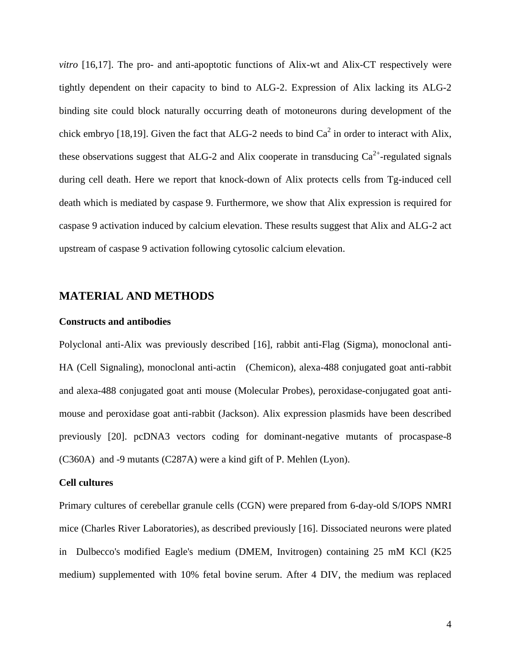*vitro* [16,17]. The pro- and anti-apoptotic functions of Alix-wt and Alix-CT respectively were tightly dependent on their capacity to bind to ALG-2. Expression of Alix lacking its ALG-2 binding site could block naturally occurring death of motoneurons during development of the chick embryo [18,19]. Given the fact that ALG-2 needs to bind  $Ca<sup>2</sup>$  in order to interact with Alix, these observations suggest that ALG-2 and Alix cooperate in transducing  $Ca^{2+}$ -regulated signals during cell death. Here we report that knock-down of Alix protects cells from Tg-induced cell death which is mediated by caspase 9. Furthermore, we show that Alix expression is required for caspase 9 activation induced by calcium elevation. These results suggest that Alix and ALG-2 act upstream of caspase 9 activation following cytosolic calcium elevation.

### **MATERIAL AND METHODS**

#### **Constructs and antibodies**

Polyclonal anti-Alix was previously described [16], rabbit anti-Flag (Sigma), monoclonal anti-HA (Cell Signaling), monoclonal anti-actin (Chemicon), alexa-488 conjugated goat anti-rabbit and alexa-488 conjugated goat anti mouse (Molecular Probes), peroxidase-conjugated goat antimouse and peroxidase goat anti-rabbit (Jackson). Alix expression plasmids have been described previously [20]. pcDNA3 vectors coding for dominant-negative mutants of procaspase-8 (C360A) and -9 mutants (C287A) were a kind gift of P. Mehlen (Lyon).

## **Cell cultures**

Primary cultures of cerebellar granule cells (CGN) were prepared from 6-day-old S/IOPS NMRI mice (Charles River Laboratories), as described previously [16]. Dissociated neurons were plated in Dulbecco's modified Eagle's medium (DMEM, Invitrogen) containing 25 mM KCl (K25 medium) supplemented with 10% fetal bovine serum. After 4 DIV, the medium was replaced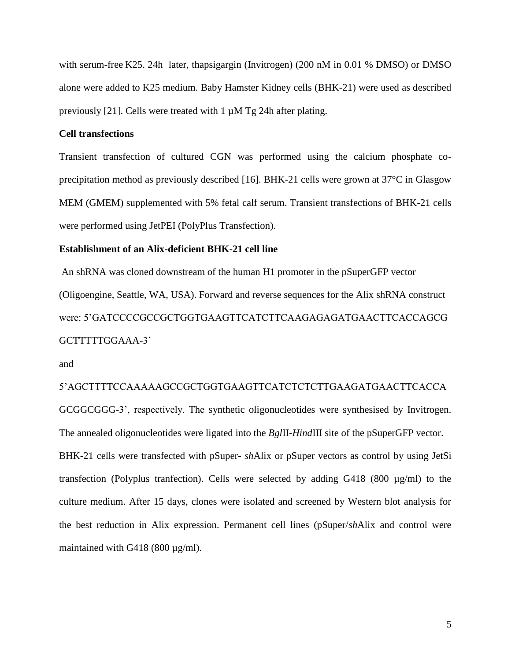with serum-free K25. 24h later, thapsigargin (Invitrogen) (200 nM in 0.01 % DMSO) or DMSO alone were added to K25 medium. Baby Hamster Kidney cells (BHK-21) were used as described previously [21]. Cells were treated with 1  $\mu$ M Tg 24h after plating.

## **Cell transfections**

Transient transfection of cultured CGN was performed using the calcium phosphate coprecipitation method as previously described [16]. BHK-21 cells were grown at 37°C in Glasgow MEM (GMEM) supplemented with 5% fetal calf serum. Transient transfections of BHK-21 cells were performed using JetPEI (PolyPlus Transfection).

### **Establishment of an Alix-deficient BHK-21 cell line**

An shRNA was cloned downstream of the human H1 promoter in the pSuperGFP vector (Oligoengine, Seattle, WA, USA). Forward and reverse sequences for the Alix shRNA construct were: 5'GATCCCCGCCGCTGGTGAAGTTCATCTTCAAGAGAGATGAACTTCACCAGCG GCTTTTTGGAAA-3'

and

# 5'AGCTTTTCCAAAAAGCCGCTGGTGAAGTTCATCTCTCTTGAAGATGAACTTCACCA

GCGGCGGG-3', respectively. The synthetic oligonucleotides were synthesised by Invitrogen. The annealed oligonucleotides were ligated into the *Bgl*II*-Hind*III site of the pSuperGFP vector. BHK-21 cells were transfected with pSuper- *sh*Alix or pSuper vectors as control by using JetSi transfection (Polyplus tranfection). Cells were selected by adding G418 (800 µg/ml) to the culture medium. After 15 days, clones were isolated and screened by Western blot analysis for the best reduction in Alix expression. Permanent cell lines (pSuper/*sh*Alix and control were maintained with G418 (800 µg/ml).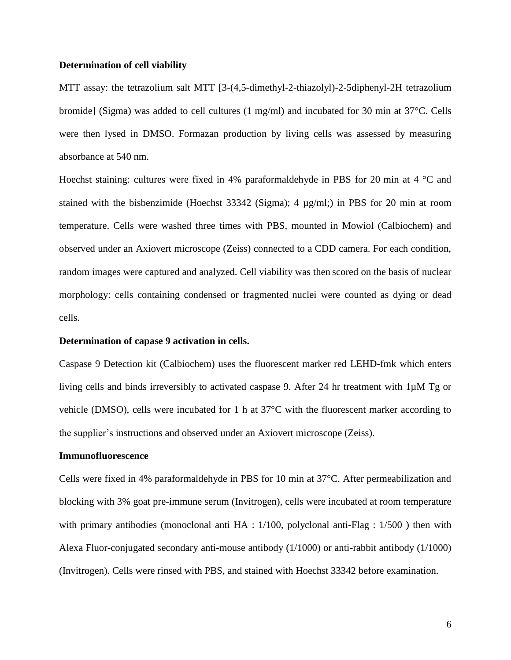#### **Determination of cell viability**

MTT assay: the tetrazolium salt MTT [3-(4,5-dimethyl-2-thiazolyl)-2-5diphenyl-2H tetrazolium bromide] (Sigma) was added to cell cultures (1 mg/ml) and incubated for 30 min at 37°C. Cells were then lysed in DMSO. Formazan production by living cells was assessed by measuring absorbance at 540 nm.

Hoechst staining: cultures were fixed in 4% paraformaldehyde in PBS for 20 min at 4 °C and stained with the bisbenzimide (Hoechst 33342 (Sigma); 4 µg/ml;) in PBS for 20 min at room temperature. Cells were washed three times with PBS, mounted in Mowiol (Calbiochem) and observed under an Axiovert microscope (Zeiss) connected to a CDD camera. For each condition, random images were captured and analyzed. Cell viability was then scored on the basis of nuclear morphology: cells containing condensed or fragmented nuclei were counted as dying or dead cells.

### **Determination of capase 9 activation in cells.**

Caspase 9 Detection kit (Calbiochem) uses the fluorescent marker red LEHD-fmk which enters living cells and binds irreversibly to activated caspase 9. After 24 hr treatment with 1µM Tg or vehicle (DMSO), cells were incubated for 1 h at 37°C with the fluorescent marker according to the supplier's instructions and observed under an Axiovert microscope (Zeiss).

#### **Immunofluorescence**

Cells were fixed in 4% paraformaldehyde in PBS for 10 min at 37°C. After permeabilization and blocking with 3% goat pre-immune serum (Invitrogen), cells were incubated at room temperature with primary antibodies (monoclonal anti HA : 1/100, polyclonal anti-Flag : 1/500) then with Alexa Fluor-conjugated secondary anti-mouse antibody (1/1000) or anti-rabbit antibody (1/1000) (Invitrogen). Cells were rinsed with PBS, and stained with Hoechst 33342 before examination.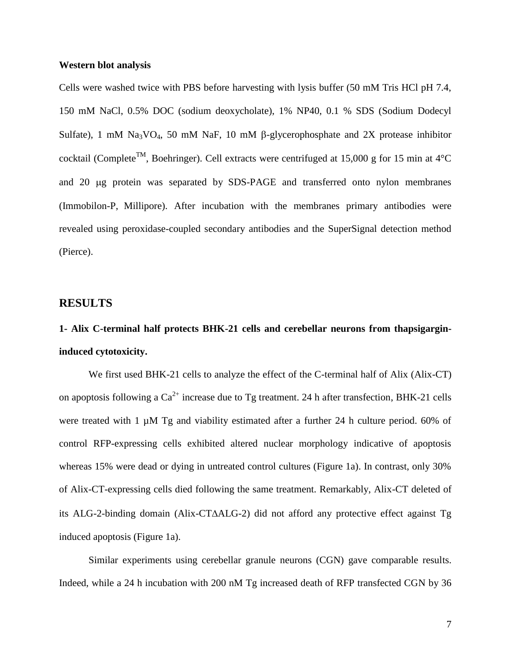#### **Western blot analysis**

Cells were washed twice with PBS before harvesting with lysis buffer (50 mM Tris HCl pH 7.4, 150 mM NaCl, 0.5% DOC (sodium deoxycholate), 1% NP40, 0.1 % SDS (Sodium Dodecyl Sulfate), 1 mM Na<sub>3</sub>VO<sub>4</sub>, 50 mM NaF, 10 mM  $\beta$ -glycerophosphate and 2X protease inhibitor cocktail (Complete<sup>TM</sup>, Boehringer). Cell extracts were centrifuged at 15,000 g for 15 min at 4<sup>o</sup>C and 20 µg protein was separated by SDS-PAGE and transferred onto nylon membranes (Immobilon-P, Millipore). After incubation with the membranes primary antibodies were revealed using peroxidase-coupled secondary antibodies and the SuperSignal detection method (Pierce).

## **RESULTS**

# **1- Alix C-terminal half protects BHK-21 cells and cerebellar neurons from thapsigargininduced cytotoxicity.**

We first used BHK-21 cells to analyze the effect of the C-terminal half of Alix (Alix-CT) on apoptosis following a  $Ca^{2+}$  increase due to Tg treatment. 24 h after transfection, BHK-21 cells were treated with 1  $\mu$ M Tg and viability estimated after a further 24 h culture period. 60% of control RFP-expressing cells exhibited altered nuclear morphology indicative of apoptosis whereas 15% were dead or dying in untreated control cultures (Figure 1a). In contrast, only 30% of Alix-CT-expressing cells died following the same treatment. Remarkably, Alix-CT deleted of its ALG-2-binding domain (Alix-CTALG-2) did not afford any protective effect against Tg induced apoptosis (Figure 1a).

Similar experiments using cerebellar granule neurons (CGN) gave comparable results. Indeed, while a 24 h incubation with 200 nM Tg increased death of RFP transfected CGN by 36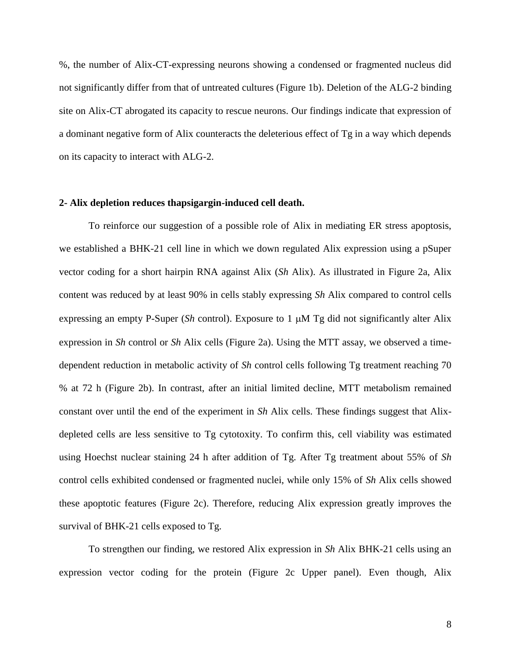%, the number of Alix-CT-expressing neurons showing a condensed or fragmented nucleus did not significantly differ from that of untreated cultures (Figure 1b). Deletion of the ALG-2 binding site on Alix-CT abrogated its capacity to rescue neurons. Our findings indicate that expression of a dominant negative form of Alix counteracts the deleterious effect of Tg in a way which depends on its capacity to interact with ALG-2.

#### **2- Alix depletion reduces thapsigargin-induced cell death.**

To reinforce our suggestion of a possible role of Alix in mediating ER stress apoptosis, we established a BHK-21 cell line in which we down regulated Alix expression using a pSuper vector coding for a short hairpin RNA against Alix (*Sh* Alix). As illustrated in Figure 2a, Alix content was reduced by at least 90% in cells stably expressing *Sh* Alix compared to control cells expressing an empty P-Super (*Sh* control). Exposure to 1  $\mu$ M Tg did not significantly alter Alix expression in *Sh* control or *Sh* Alix cells (Figure 2a). Using the MTT assay, we observed a timedependent reduction in metabolic activity of *Sh* control cells following Tg treatment reaching 70 % at 72 h (Figure 2b). In contrast, after an initial limited decline, MTT metabolism remained constant over until the end of the experiment in *Sh* Alix cells. These findings suggest that Alixdepleted cells are less sensitive to Tg cytotoxity. To confirm this, cell viability was estimated using Hoechst nuclear staining 24 h after addition of Tg. After Tg treatment about 55% of *Sh*  control cells exhibited condensed or fragmented nuclei, while only 15% of *Sh* Alix cells showed these apoptotic features (Figure 2c). Therefore, reducing Alix expression greatly improves the survival of BHK-21 cells exposed to Tg.

To strengthen our finding, we restored Alix expression in *Sh* Alix BHK-21 cells using an expression vector coding for the protein (Figure 2c Upper panel). Even though, Alix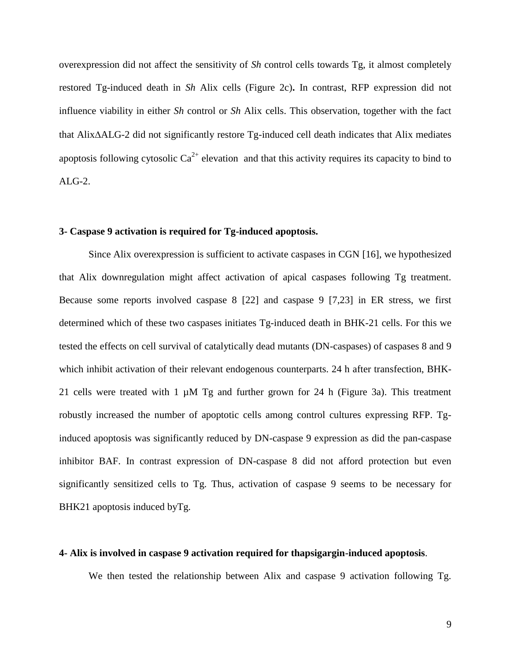overexpression did not affect the sensitivity of *Sh* control cells towards Tg, it almost completely restored Tg-induced death in *Sh* Alix cells (Figure 2c)**.** In contrast, RFP expression did not influence viability in either *Sh* control or *Sh* Alix cells. This observation, together with the fact that AlixALG-2 did not significantly restore Tg-induced cell death indicates that Alix mediates apoptosis following cytosolic  $Ca^{2+}$  elevation and that this activity requires its capacity to bind to ALG-2.

#### **3- Caspase 9 activation is required for Tg-induced apoptosis.**

Since Alix overexpression is sufficient to activate caspases in CGN [16], we hypothesized that Alix downregulation might affect activation of apical caspases following Tg treatment. Because some reports involved caspase 8 [22] and caspase 9 [7,23] in ER stress, we first determined which of these two caspases initiates Tg-induced death in BHK-21 cells. For this we tested the effects on cell survival of catalytically dead mutants (DN-caspases) of caspases 8 and 9 which inhibit activation of their relevant endogenous counterparts. 24 h after transfection, BHK-21 cells were treated with 1  $\mu$ M Tg and further grown for 24 h (Figure 3a). This treatment robustly increased the number of apoptotic cells among control cultures expressing RFP. Tginduced apoptosis was significantly reduced by DN-caspase 9 expression as did the pan-caspase inhibitor BAF. In contrast expression of DN-caspase 8 did not afford protection but even significantly sensitized cells to Tg. Thus, activation of caspase 9 seems to be necessary for BHK21 apoptosis induced byTg.

#### **4- Alix is involved in caspase 9 activation required for thapsigargin-induced apoptosis**.

We then tested the relationship between Alix and caspase 9 activation following Tg.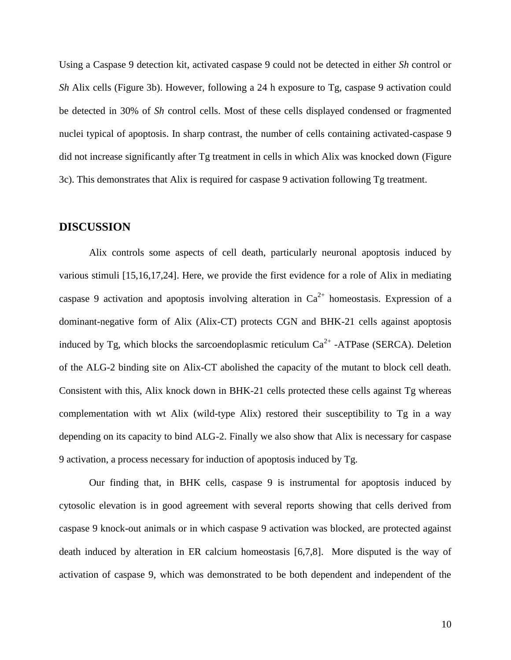Using a Caspase 9 detection kit, activated caspase 9 could not be detected in either *Sh* control or *Sh* Alix cells (Figure 3b). However, following a 24 h exposure to Tg, caspase 9 activation could be detected in 30% of *Sh* control cells. Most of these cells displayed condensed or fragmented nuclei typical of apoptosis. In sharp contrast, the number of cells containing activated-caspase 9 did not increase significantly after Tg treatment in cells in which Alix was knocked down (Figure 3c). This demonstrates that Alix is required for caspase 9 activation following Tg treatment.

## **DISCUSSION**

Alix controls some aspects of cell death, particularly neuronal apoptosis induced by various stimuli [15,16,17,24]. Here, we provide the first evidence for a role of Alix in mediating caspase 9 activation and apoptosis involving alteration in  $Ca^{2+}$  homeostasis. Expression of a dominant-negative form of Alix (Alix-CT) protects CGN and BHK-21 cells against apoptosis induced by Tg, which blocks the sarcoendoplasmic reticulum  $Ca^{2+}$  -ATPase (SERCA). Deletion of the ALG-2 binding site on Alix-CT abolished the capacity of the mutant to block cell death. Consistent with this, Alix knock down in BHK-21 cells protected these cells against Tg whereas complementation with wt Alix (wild-type Alix) restored their susceptibility to Tg in a way depending on its capacity to bind ALG-2. Finally we also show that Alix is necessary for caspase 9 activation, a process necessary for induction of apoptosis induced by Tg.

Our finding that, in BHK cells, caspase 9 is instrumental for apoptosis induced by cytosolic elevation is in good agreement with several reports showing that cells derived from caspase 9 knock-out animals or in which caspase 9 activation was blocked, are protected against death induced by alteration in ER calcium homeostasis [6,7,8]. More disputed is the way of activation of caspase 9, which was demonstrated to be both dependent and independent of the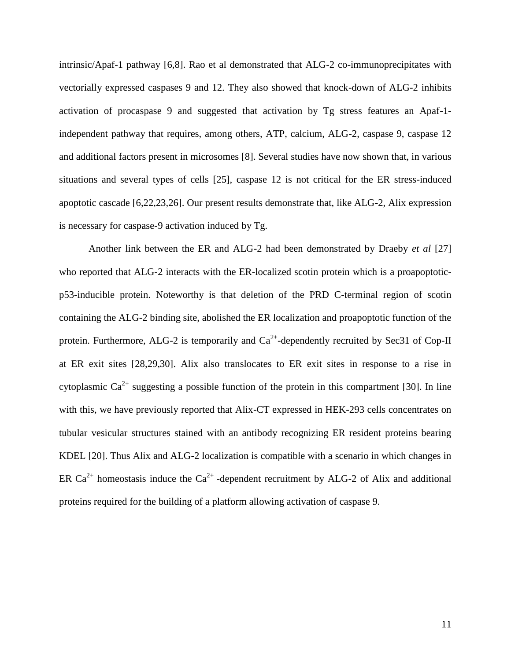intrinsic/Apaf-1 pathway [6,8]. Rao et al demonstrated that ALG-2 co-immunoprecipitates with vectorially expressed caspases 9 and 12. They also showed that knock-down of ALG-2 inhibits activation of procaspase 9 and suggested that activation by Tg stress features an Apaf-1 independent pathway that requires, among others, ATP, calcium, ALG-2, caspase 9, caspase 12 and additional factors present in microsomes [8]. Several studies have now shown that, in various situations and several types of cells [25], caspase 12 is not critical for the ER stress-induced apoptotic cascade [6,22,23,26]. Our present results demonstrate that, like ALG-2, Alix expression is necessary for caspase-9 activation induced by Tg.

Another link between the ER and ALG-2 had been demonstrated by Draeby *et al* [27] who reported that ALG-2 interacts with the ER-localized scotin protein which is a proapoptoticp53-inducible protein. Noteworthy is that deletion of the PRD C-terminal region of scotin containing the ALG-2 binding site, abolished the ER localization and proapoptotic function of the protein. Furthermore, ALG-2 is temporarily and  $Ca^{2+}$ -dependently recruited by Sec31 of Cop-II at ER exit sites [28,29,30]. Alix also translocates to ER exit sites in response to a rise in cytoplasmic  $Ca^{2+}$  suggesting a possible function of the protein in this compartment [30]. In line with this, we have previously reported that Alix-CT expressed in HEK-293 cells concentrates on tubular vesicular structures stained with an antibody recognizing ER resident proteins bearing KDEL [20]. Thus Alix and ALG-2 localization is compatible with a scenario in which changes in ER Ca<sup>2+</sup> homeostasis induce the Ca<sup>2+</sup> -dependent recruitment by ALG-2 of Alix and additional proteins required for the building of a platform allowing activation of caspase 9.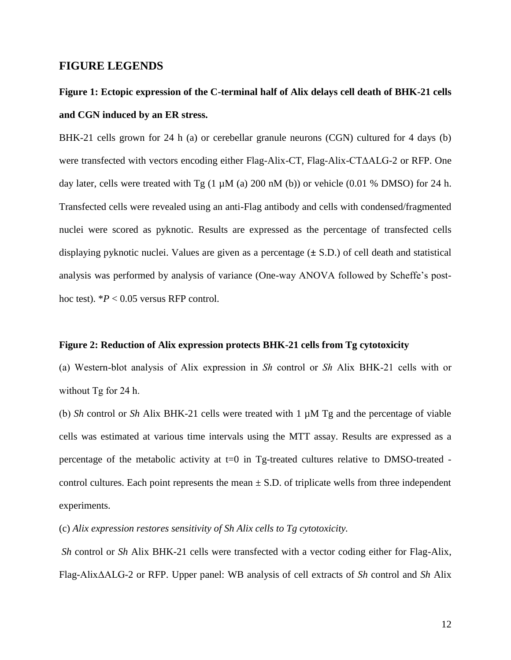## **FIGURE LEGENDS**

# **Figure 1: Ectopic expression of the C-terminal half of Alix delays cell death of BHK-21 cells and CGN induced by an ER stress.**

BHK-21 cells grown for 24 h (a) or cerebellar granule neurons (CGN) cultured for 4 days (b) were transfected with vectors encoding either Flag-Alix-CT, Flag-Alix-CTΔALG-2 or RFP. One day later, cells were treated with  $Tg$  (1  $\mu$ M (a) 200 nM (b)) or vehicle (0.01 % DMSO) for 24 h. Transfected cells were revealed using an anti-Flag antibody and cells with condensed/fragmented nuclei were scored as pyknotic. Results are expressed as the percentage of transfected cells displaying pyknotic nuclei. Values are given as a percentage (**±** S.D.) of cell death and statistical analysis was performed by analysis of variance (One-way ANOVA followed by Scheffe's posthoc test).  $P < 0.05$  versus RFP control.

### **Figure 2: Reduction of Alix expression protects BHK-21 cells from Tg cytotoxicity**

(a) Western-blot analysis of Alix expression in *Sh* control or *Sh* Alix BHK-21 cells with or without Tg for 24 h.

(b) *Sh* control or *Sh* Alix BHK-21 cells were treated with 1 µM Tg and the percentage of viable cells was estimated at various time intervals using the MTT assay. Results are expressed as a percentage of the metabolic activity at  $t=0$  in Tg-treated cultures relative to DMSO-treated control cultures. Each point represents the mean  $\pm$  S.D. of triplicate wells from three independent experiments.

(c) *Alix expression restores sensitivity of Sh Alix cells to Tg cytotoxicity.*

*Sh* control or *Sh* Alix BHK-21 cells were transfected with a vector coding either for Flag-Alix, Flag-AlixΔALG-2 or RFP. Upper panel: WB analysis of cell extracts of *Sh* control and *Sh* Alix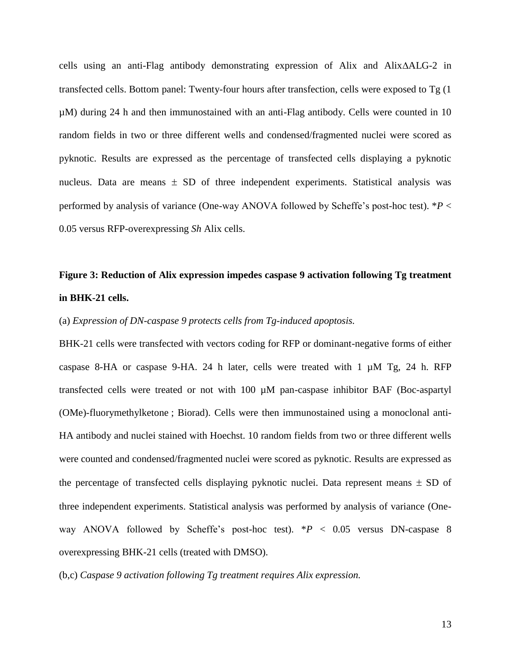cells using an anti-Flag antibody demonstrating expression of Alix and AlixALG-2 in transfected cells. Bottom panel: Twenty-four hours after transfection, cells were exposed to Tg (1 µM) during 24 h and then immunostained with an anti-Flag antibody. Cells were counted in 10 random fields in two or three different wells and condensed/fragmented nuclei were scored as pyknotic. Results are expressed as the percentage of transfected cells displaying a pyknotic nucleus. Data are means  $\pm$  SD of three independent experiments. Statistical analysis was performed by analysis of variance (One-way ANOVA followed by Scheffe's post-hoc test). \**P* < 0.05 versus RFP-overexpressing *Sh* Alix cells.

# **Figure 3: Reduction of Alix expression impedes caspase 9 activation following Tg treatment in BHK-21 cells.**

### (a) *Expression of DN-caspase 9 protects cells from Tg-induced apoptosis.*

BHK-21 cells were transfected with vectors coding for RFP or dominant-negative forms of either caspase 8-HA or caspase 9-HA. 24 h later, cells were treated with 1  $\mu$ M Tg, 24 h. RFP transfected cells were treated or not with 100 µM pan-caspase inhibitor BAF (Boc-aspartyl (OMe)-fluorymethylketone ; Biorad). Cells were then immunostained using a monoclonal anti-HA antibody and nuclei stained with Hoechst. 10 random fields from two or three different wells were counted and condensed/fragmented nuclei were scored as pyknotic. Results are expressed as the percentage of transfected cells displaying pyknotic nuclei. Data represent means  $\pm$  SD of three independent experiments. Statistical analysis was performed by analysis of variance (Oneway ANOVA followed by Scheffe's post-hoc test).  $*P < 0.05$  versus DN-caspase 8 overexpressing BHK-21 cells (treated with DMSO).

(b,c) *Caspase 9 activation following Tg treatment requires Alix expression.*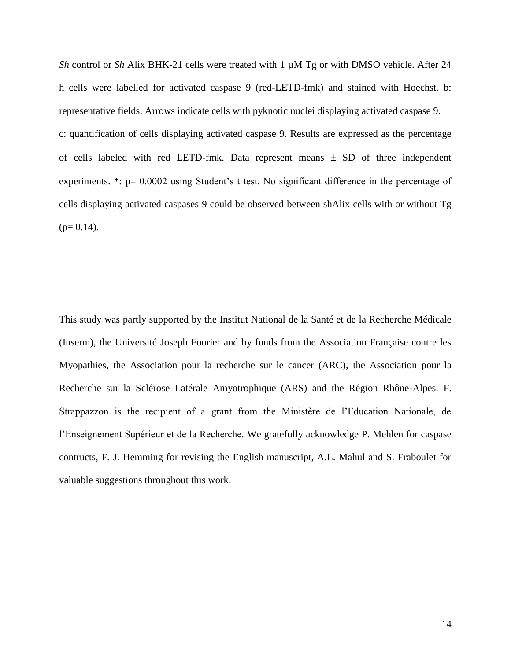*Sh* control or *Sh* Alix BHK-21 cells were treated with 1 µM Tg or with DMSO vehicle. After 24 h cells were labelled for activated caspase 9 (red-LETD-fmk) and stained with Hoechst. b: representative fields. Arrows indicate cells with pyknotic nuclei displaying activated caspase 9. c: quantification of cells displaying activated caspase 9. Results are expressed as the percentage of cells labeled with red LETD-fmk. Data represent means  $\pm$  SD of three independent experiments.  $\dot{\gamma}$ :  $p= 0.0002$  using Student's t test. No significant difference in the percentage of cells displaying activated caspases 9 could be observed between shAlix cells with or without Tg  $(p= 0.14)$ .

This study was partly supported by the Institut National de la Santé et de la Recherche Médicale (Inserm), the Université Joseph Fourier and by funds from the Association Française contre les Myopathies, the Association pour la recherche sur le cancer (ARC), the Association pour la Recherche sur la Sclérose Latérale Amyotrophique (ARS) and the Région Rhône-Alpes. F. Strappazzon is the recipient of a grant from the Ministère de l'Education Nationale, de l'Enseignement Supérieur et de la Recherche. We gratefully acknowledge P. Mehlen for caspase contructs, F. J. Hemming for revising the English manuscript, A.L. Mahul and S. Fraboulet for valuable suggestions throughout this work.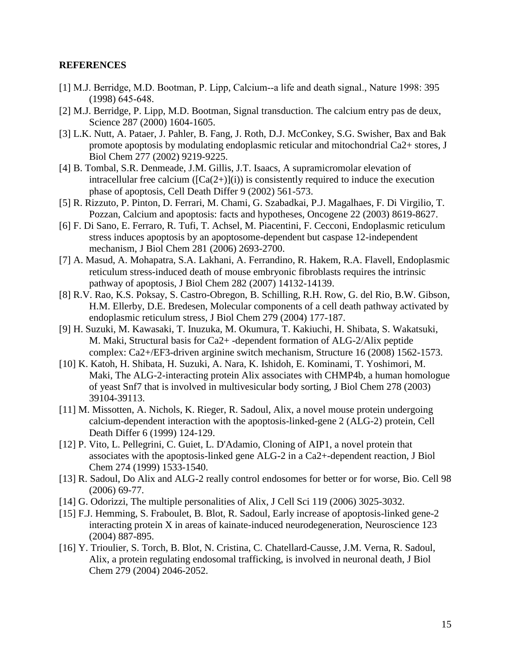### **REFERENCES**

- [1] M.J. Berridge, M.D. Bootman, P. Lipp, Calcium--a life and death signal., Nature 1998: 395 (1998) 645-648.
- [2] M.J. Berridge, P. Lipp, M.D. Bootman, Signal transduction. The calcium entry pas de deux, Science 287 (2000) 1604-1605.
- [3] L.K. Nutt, A. Pataer, J. Pahler, B. Fang, J. Roth, D.J. McConkey, S.G. Swisher, Bax and Bak promote apoptosis by modulating endoplasmic reticular and mitochondrial Ca2+ stores, J Biol Chem 277 (2002) 9219-9225.
- [4] B. Tombal, S.R. Denmeade, J.M. Gillis, J.T. Isaacs, A supramicromolar elevation of intracellular free calcium  $(\text{[Ca}(2+)](i))$  is consistently required to induce the execution phase of apoptosis, Cell Death Differ 9 (2002) 561-573.
- [5] R. Rizzuto, P. Pinton, D. Ferrari, M. Chami, G. Szabadkai, P.J. Magalhaes, F. Di Virgilio, T. Pozzan, Calcium and apoptosis: facts and hypotheses, Oncogene 22 (2003) 8619-8627.
- [6] F. Di Sano, E. Ferraro, R. Tufi, T. Achsel, M. Piacentini, F. Cecconi, Endoplasmic reticulum stress induces apoptosis by an apoptosome-dependent but caspase 12-independent mechanism, J Biol Chem 281 (2006) 2693-2700.
- [7] A. Masud, A. Mohapatra, S.A. Lakhani, A. Ferrandino, R. Hakem, R.A. Flavell, Endoplasmic reticulum stress-induced death of mouse embryonic fibroblasts requires the intrinsic pathway of apoptosis, J Biol Chem 282 (2007) 14132-14139.
- [8] R.V. Rao, K.S. Poksay, S. Castro-Obregon, B. Schilling, R.H. Row, G. del Rio, B.W. Gibson, H.M. Ellerby, D.E. Bredesen, Molecular components of a cell death pathway activated by endoplasmic reticulum stress, J Biol Chem 279 (2004) 177-187.
- [9] H. Suzuki, M. Kawasaki, T. Inuzuka, M. Okumura, T. Kakiuchi, H. Shibata, S. Wakatsuki, M. Maki, Structural basis for Ca2+ -dependent formation of ALG-2/Alix peptide complex: Ca2+/EF3-driven arginine switch mechanism, Structure 16 (2008) 1562-1573.
- [10] K. Katoh, H. Shibata, H. Suzuki, A. Nara, K. Ishidoh, E. Kominami, T. Yoshimori, M. Maki, The ALG-2-interacting protein Alix associates with CHMP4b, a human homologue of yeast Snf7 that is involved in multivesicular body sorting, J Biol Chem 278 (2003) 39104-39113.
- [11] M. Missotten, A. Nichols, K. Rieger, R. Sadoul, Alix, a novel mouse protein undergoing calcium-dependent interaction with the apoptosis-linked-gene 2 (ALG-2) protein, Cell Death Differ 6 (1999) 124-129.
- [12] P. Vito, L. Pellegrini, C. Guiet, L. D'Adamio, Cloning of AIP1, a novel protein that associates with the apoptosis-linked gene ALG-2 in a Ca2+-dependent reaction, J Biol Chem 274 (1999) 1533-1540.
- [13] R. Sadoul, Do Alix and ALG-2 really control endosomes for better or for worse, Bio. Cell 98 (2006) 69-77.
- [14] G. Odorizzi, The multiple personalities of Alix, J Cell Sci 119 (2006) 3025-3032.
- [15] F.J. Hemming, S. Fraboulet, B. Blot, R. Sadoul, Early increase of apoptosis-linked gene-2 interacting protein X in areas of kainate-induced neurodegeneration, Neuroscience 123 (2004) 887-895.
- [16] Y. Trioulier, S. Torch, B. Blot, N. Cristina, C. Chatellard-Causse, J.M. Verna, R. Sadoul, Alix, a protein regulating endosomal trafficking, is involved in neuronal death, J Biol Chem 279 (2004) 2046-2052.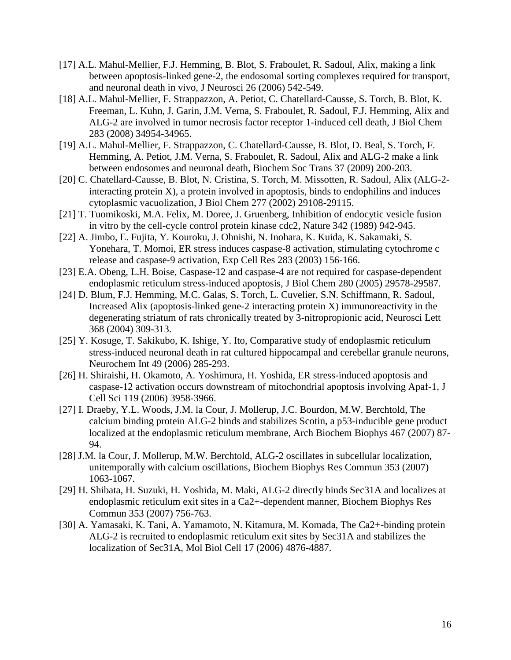- [17] A.L. Mahul-Mellier, F.J. Hemming, B. Blot, S. Fraboulet, R. Sadoul, Alix, making a link between apoptosis-linked gene-2, the endosomal sorting complexes required for transport, and neuronal death in vivo, J Neurosci 26 (2006) 542-549.
- [18] A.L. Mahul-Mellier, F. Strappazzon, A. Petiot, C. Chatellard-Causse, S. Torch, B. Blot, K. Freeman, L. Kuhn, J. Garin, J.M. Verna, S. Fraboulet, R. Sadoul, F.J. Hemming, Alix and ALG-2 are involved in tumor necrosis factor receptor 1-induced cell death, J Biol Chem 283 (2008) 34954-34965.
- [19] A.L. Mahul-Mellier, F. Strappazzon, C. Chatellard-Causse, B. Blot, D. Beal, S. Torch, F. Hemming, A. Petiot, J.M. Verna, S. Fraboulet, R. Sadoul, Alix and ALG-2 make a link between endosomes and neuronal death, Biochem Soc Trans 37 (2009) 200-203.
- [20] C. Chatellard-Causse, B. Blot, N. Cristina, S. Torch, M. Missotten, R. Sadoul, Alix (ALG-2 interacting protein X), a protein involved in apoptosis, binds to endophilins and induces cytoplasmic vacuolization, J Biol Chem 277 (2002) 29108-29115.
- [21] T. Tuomikoski, M.A. Felix, M. Doree, J. Gruenberg, Inhibition of endocytic vesicle fusion in vitro by the cell-cycle control protein kinase cdc2, Nature 342 (1989) 942-945.
- [22] A. Jimbo, E. Fujita, Y. Kouroku, J. Ohnishi, N. Inohara, K. Kuida, K. Sakamaki, S. Yonehara, T. Momoi, ER stress induces caspase-8 activation, stimulating cytochrome c release and caspase-9 activation, Exp Cell Res 283 (2003) 156-166.
- [23] E.A. Obeng, L.H. Boise, Caspase-12 and caspase-4 are not required for caspase-dependent endoplasmic reticulum stress-induced apoptosis, J Biol Chem 280 (2005) 29578-29587.
- [24] D. Blum, F.J. Hemming, M.C. Galas, S. Torch, L. Cuvelier, S.N. Schiffmann, R. Sadoul, Increased Alix (apoptosis-linked gene-2 interacting protein  $X$ ) immunoreactivity in the degenerating striatum of rats chronically treated by 3-nitropropionic acid, Neurosci Lett 368 (2004) 309-313.
- [25] Y. Kosuge, T. Sakikubo, K. Ishige, Y. Ito, Comparative study of endoplasmic reticulum stress-induced neuronal death in rat cultured hippocampal and cerebellar granule neurons, Neurochem Int 49 (2006) 285-293.
- [26] H. Shiraishi, H. Okamoto, A. Yoshimura, H. Yoshida, ER stress-induced apoptosis and caspase-12 activation occurs downstream of mitochondrial apoptosis involving Apaf-1, J Cell Sci 119 (2006) 3958-3966.
- [27] I. Draeby, Y.L. Woods, J.M. la Cour, J. Mollerup, J.C. Bourdon, M.W. Berchtold, The calcium binding protein ALG-2 binds and stabilizes Scotin, a p53-inducible gene product localized at the endoplasmic reticulum membrane, Arch Biochem Biophys 467 (2007) 87- 94.
- [28] J.M. la Cour, J. Mollerup, M.W. Berchtold, ALG-2 oscillates in subcellular localization, unitemporally with calcium oscillations, Biochem Biophys Res Commun 353 (2007) 1063-1067.
- [29] H. Shibata, H. Suzuki, H. Yoshida, M. Maki, ALG-2 directly binds Sec31A and localizes at endoplasmic reticulum exit sites in a Ca2+-dependent manner, Biochem Biophys Res Commun 353 (2007) 756-763.
- [30] A. Yamasaki, K. Tani, A. Yamamoto, N. Kitamura, M. Komada, The Ca2+-binding protein ALG-2 is recruited to endoplasmic reticulum exit sites by Sec31A and stabilizes the localization of Sec31A, Mol Biol Cell 17 (2006) 4876-4887.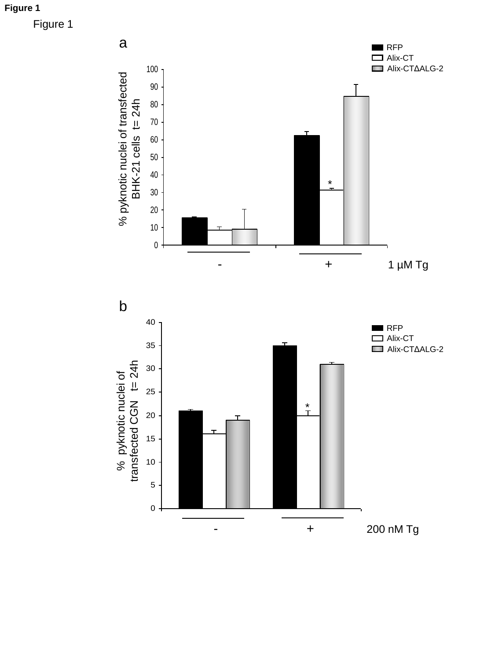**Figure 1**

Figure 1

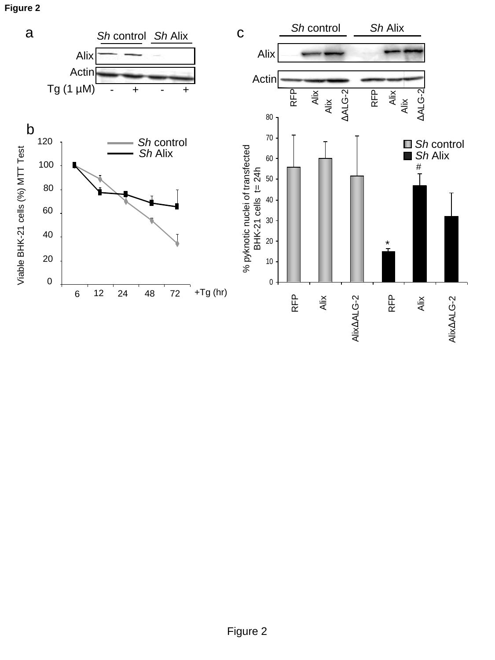**Figure 2**



Alix

Alix